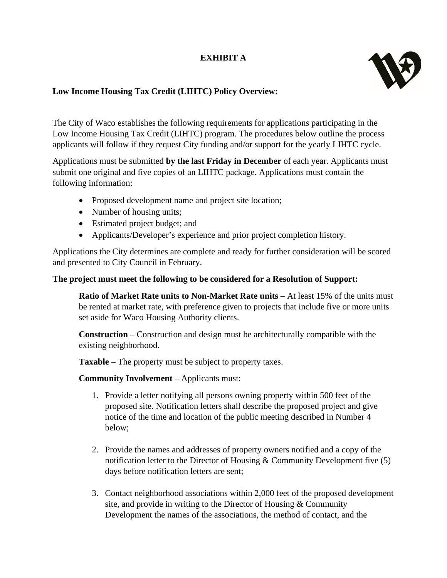## **EXHIBIT A**



## **Low Income Housing Tax Credit (LIHTC) Policy Overview:**

The City of Waco establishes the following requirements for applications participating in the Low Income Housing Tax Credit (LIHTC) program. The procedures below outline the process applicants will follow if they request City funding and/or support for the yearly LIHTC cycle.

Applications must be submitted **by the last Friday in December** of each year. Applicants must submit one original and five copies of an LIHTC package. Applications must contain the following information:

- Proposed development name and project site location;
- Number of housing units;
- Estimated project budget; and
- Applicants/Developer's experience and prior project completion history.

Applications the City determines are complete and ready for further consideration will be scored and presented to City Council in February.

## **The project must meet the following to be considered for a Resolution of Support:**

**Ratio of Market Rate units to Non-Market Rate units** – At least 15% of the units must be rented at market rate, with preference given to projects that include five or more units set aside for Waco Housing Authority clients.

**Construction** – Construction and design must be architecturally compatible with the existing neighborhood.

**Taxable** – The property must be subject to property taxes.

**Community Involvement** – Applicants must:

- 1. Provide a letter notifying all persons owning property within 500 feet of the proposed site. Notification letters shall describe the proposed project and give notice of the time and location of the public meeting described in Number 4 below;
- 2. Provide the names and addresses of property owners notified and a copy of the notification letter to the Director of Housing & Community Development five (5) days before notification letters are sent;
- 3. Contact neighborhood associations within 2,000 feet of the proposed development site, and provide in writing to the Director of Housing & Community Development the names of the associations, the method of contact, and the